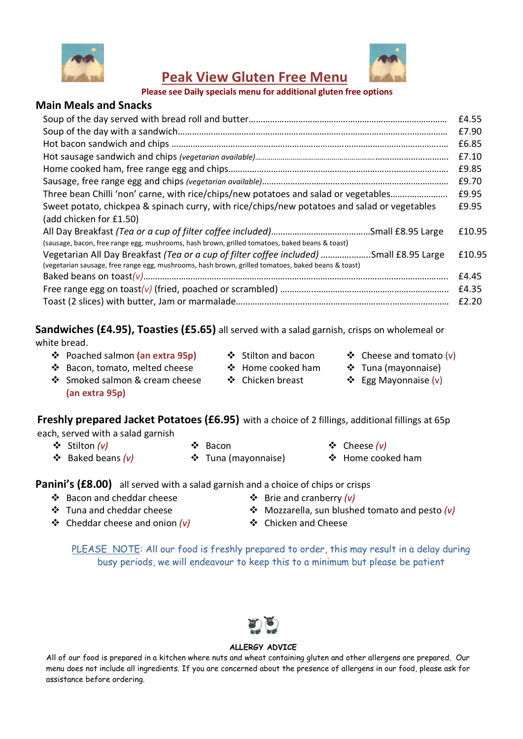



Peak View Gluten Free Menu

#### Please see Daily specials menu for additional gluten free options

## Main Meals and Snacks

|                                                                                                                                                                                               | £4.55  |
|-----------------------------------------------------------------------------------------------------------------------------------------------------------------------------------------------|--------|
|                                                                                                                                                                                               | £7.90  |
|                                                                                                                                                                                               | £6.85  |
|                                                                                                                                                                                               | £7.10  |
|                                                                                                                                                                                               | £9.85  |
|                                                                                                                                                                                               | £9.70  |
| Three bean Chilli 'non' carne, with rice/chips/new potatoes and salad or vegetables                                                                                                           | £9.95  |
| Sweet potato, chickpea & spinach curry, with rice/chips/new potatoes and salad or vegetables                                                                                                  | £9.95  |
| (add chicken for £1.50)                                                                                                                                                                       |        |
| (sausage, bacon, free range egg, mushrooms, hash brown, grilled tomatoes, baked beans & toast)                                                                                                | £10.95 |
| Vegetarian All Day Breakfast (Tea or a cup of filter coffee included) Small £8.95 Large<br>(vegetarian sausage, free range egg, mushrooms, hash brown, grilled tomatoes, baked beans & toast) | £10.95 |
|                                                                                                                                                                                               | £4.45  |
|                                                                                                                                                                                               | £4.35  |
|                                                                                                                                                                                               | £2.20  |

## Sandwiches (£4.95), Toasties (£5.65) all served with a salad garnish, crisps on wholemeal or

#### white bread.

- ❖ Poached salmon (an extra 95p) → ◆ Stilton and bacon → ◆ Cheese and tomato (v)
- 
- 
- Bacon, tomato, melted cheese
- Smoked salmon & cream cheese (an extra 95p)
- $\div$  Home cooked ham
- Chicken breast
- 
- Tuna (mayonnaise)
- Egg Mayonnaise (v)

# Freshly prepared Jacket Potatoes (£6.95) with a choice of 2 fillings, additional fillings at 65p

each, served with a salad garnish

- 
- $\div$  Stilton (v)  $\div$  Bacon  $\div$  Cheese (v)
- 
- Baked beans (v) Tuna (mayonnaise) Home cooked ham

# **Panini's (£8.00)** all served with a salad garnish and a choice of chips or crisps

- $\cdot$  Bacon and cheddar cheese  $\cdot$  Brie and cranberry (v)
- 
- $\cdot \cdot$  Cheddar cheese and onion (v)  $\cdot \cdot$  Chicken and Cheese
- 
- $\cdot$  Tuna and cheddar cheese  $\cdot$  Mozzarella, sun blushed tomato and pesto (v)
	-

PLEASE NOTE: All our food is freshly prepared to order, this may result in a delay during busy periods, we will endeavour to keep this to a minimum but please be patient



#### ALLERGY ADVICE

All of our food is prepared in a kitchen where nuts and wheat containing gluten and other allergens are prepared. Our menu does not include all ingredients. If you are concerned about the presence of allergens in our food, please ask for assistance before ordering.